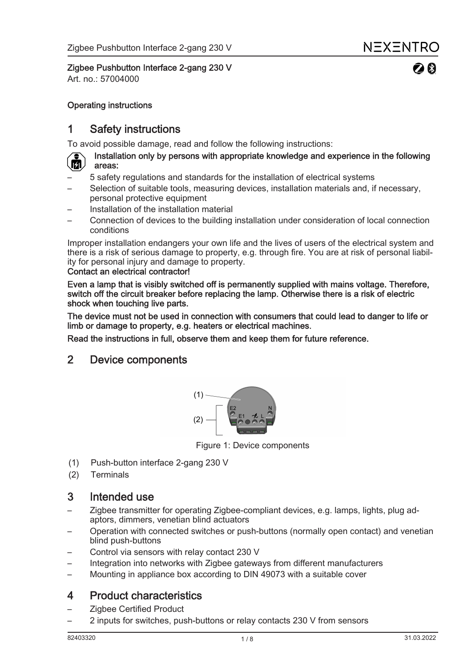$20$ 

Zigbee Pushbutton Interface 2-gang 230 V

Art. no.: 57004000

### Operating instructions

## 1 Safety instructions

To avoid possible damage, read and follow the following instructions:

#### Installation only by persons with appropriate knowledge and experience in the following 面. areas:

- 5 safety regulations and standards for the installation of electrical systems
- Selection of suitable tools, measuring devices, installation materials and, if necessary, personal protective equipment
- Installation of the installation material
- Connection of devices to the building installation under consideration of local connection conditions

Improper installation endangers your own life and the lives of users of the electrical system and there is a risk of serious damage to property, e.g. through fire. You are at risk of personal liability for personal injury and damage to property.

#### Contact an electrical contractor!

Even a lamp that is visibly switched off is permanently supplied with mains voltage. Therefore, switch off the circuit breaker before replacing the lamp. Otherwise there is a risk of electric shock when touching live parts.

The device must not be used in connection with consumers that could lead to danger to life or limb or damage to property, e.g. heaters or electrical machines.

Read the instructions in full, observe them and keep them for future reference.

## 2 Device components



Figure 1: Device components

- (1) Push-button interface 2-gang 230 V
- (2) Terminals

## 3 Intended use

- Zigbee transmitter for operating Zigbee-compliant devices, e.g. lamps, lights, plug adaptors, dimmers, venetian blind actuators
- Operation with connected switches or push-buttons (normally open contact) and venetian blind push-buttons
- Control via sensors with relay contact 230 V
- Integration into networks with Zigbee gateways from different manufacturers
- Mounting in appliance box according to DIN 49073 with a suitable cover

## 4 Product characteristics

- Zigbee Certified Product
- 2 inputs for switches, push-buttons or relay contacts 230 V from sensors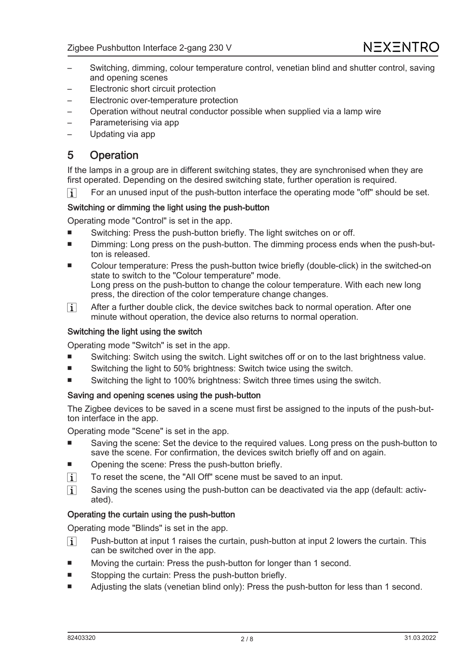- Switching, dimming, colour temperature control, venetian blind and shutter control, saving and opening scenes
- Electronic short circuit protection
- Electronic over-temperature protection
- Operation without neutral conductor possible when supplied via a lamp wire
- Parameterising via app
- Updating via app

## 5 Operation

If the lamps in a group are in different switching states, they are synchronised when they are first operated. Depending on the desired switching state, further operation is required.

For an unused input of the push-button interface the operating mode "off" should be set.  $\vert i \vert$ 

#### Switching or dimming the light using the push-button

Operating mode "Control" is set in the app.

- Switching: Press the push-button briefly. The light switches on or off.
- Dimming: Long press on the push-button. The dimming process ends when the push-button is released.
- Colour temperature: Press the push-button twice briefly (double-click) in the switched-on state to switch to the "Colour temperature" mode. Long press on the push-button to change the colour temperature. With each new long press, the direction of the color temperature change changes.
- After a further double click, the device switches back to normal operation. After one  $\boxed{1}$ minute without operation, the device also returns to normal operation.

#### Switching the light using the switch

Operating mode "Switch" is set in the app.

- Switching: Switch using the switch. Light switches off or on to the last brightness value.
- Switching the light to 50% brightness: Switch twice using the switch.
- Switching the light to 100% brightness: Switch three times using the switch.

#### Saving and opening scenes using the push-button

The Zigbee devices to be saved in a scene must first be assigned to the inputs of the push-button interface in the app.

Operating mode "Scene" is set in the app.

- Saving the scene: Set the device to the required values. Long press on the push-button to save the scene. For confirmation, the devices switch briefly off and on again.
- Opening the scene: Press the push-button briefly.
- To reset the scene, the "All Off" scene must be saved to an input.  $\vert$  i  $\vert$
- Saving the scenes using the push-button can be deactivated via the app (default: activ- $\lceil i \rceil$ ated).

#### Operating the curtain using the push-button

Operating mode "Blinds" is set in the app.

- $\lceil \cdot \rceil$ Push-button at input 1 raises the curtain, push-button at input 2 lowers the curtain. This can be switched over in the app.
- Moving the curtain: Press the push-button for longer than 1 second.
- Stopping the curtain: Press the push-button briefly.
- Adjusting the slats (venetian blind only): Press the push-button for less than 1 second.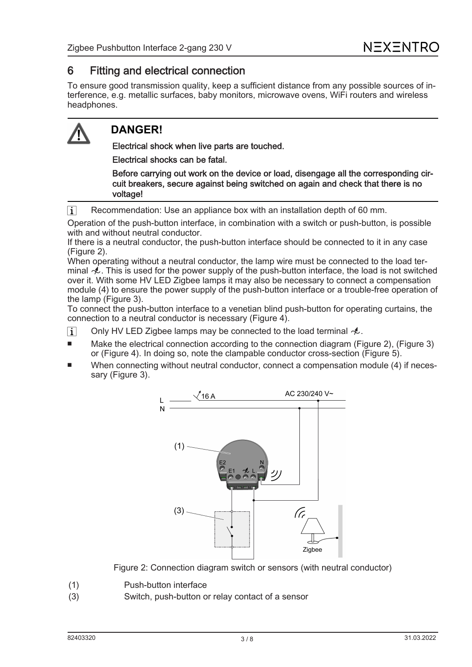## 6 Fitting and electrical connection

To ensure good transmission quality, keep a sufficient distance from any possible sources of interference, e.g. metallic surfaces, baby monitors, microwave ovens, WiFi routers and wireless headphones.

# **DANGER!**

Electrical shock when live parts are touched.

Electrical shocks can be fatal.

Before carrying out work on the device or load, disengage all the corresponding circuit breakers, secure against being switched on again and check that there is no voltage!

Recommendation: Use an appliance box with an installation depth of 60 mm.  $\vert \mathbf{i} \vert$ 

Operation of the push-button interface, in combination with a switch or push-button, is possible with and without neutral conductor.

If there is a neutral conductor, the push-button interface should be connected to it in any case (Figure 2).

When operating without a neutral conductor, the lamp wire must be connected to the load terminal  $\sim$ . This is used for the power supply of the push-button interface, the load is not switched over it. With some HV LED Zigbee lamps it may also be necessary to connect a compensation module (4) to ensure the power supply of the push-button interface or a trouble-free operation of the lamp (Figure 3).

To connect the push-button interface to a venetian blind push-button for operating curtains, the connection to a neutral conductor is necessary (Figure 4).

- Only HV LED Zigbee lamps may be connected to the load terminal  $A$ .  $\vert i \vert$
- Make the electrical connection according to the connection diagram (Figure 2), (Figure 3) or (Figure 4). In doing so, note the clampable conductor cross-section (Figure 5).
- When connecting without neutral conductor, connect a compensation module (4) if necessary (Figure 3).



Figure 2: Connection diagram switch or sensors (with neutral conductor)

- (1) Push-button interface
- (3) Switch, push-button or relay contact of a sensor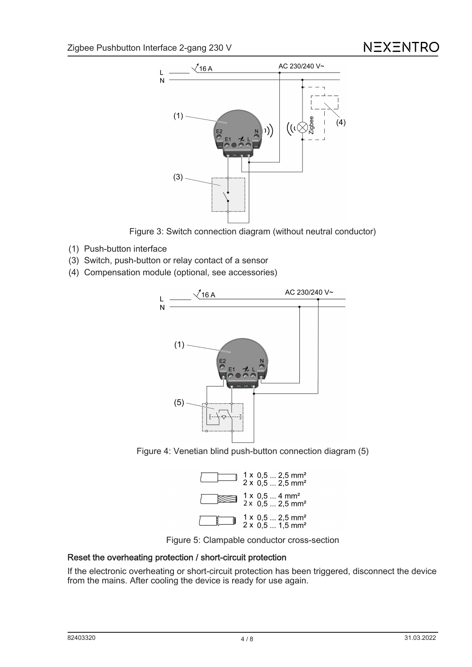

Figure 3: Switch connection diagram (without neutral conductor)

- (1) Push-button interface
- (3) Switch, push-button or relay contact of a sensor
- (4) Compensation module (optional, see accessories)



Figure 4: Venetian blind push-button connection diagram (5)





#### Reset the overheating protection / short-circuit protection

If the electronic overheating or short-circuit protection has been triggered, disconnect the device from the mains. After cooling the device is ready for use again.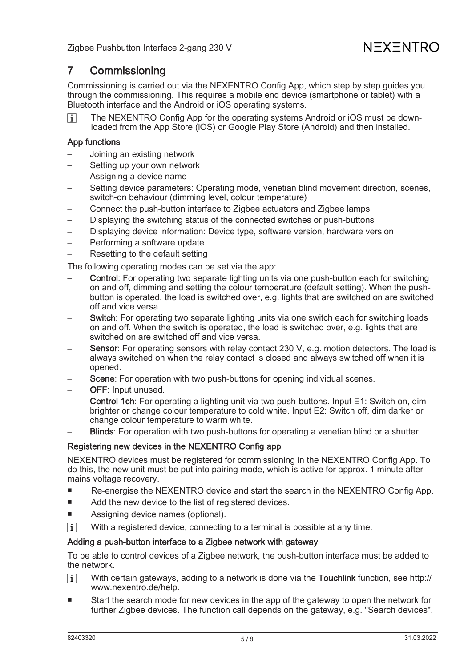## 7 Commissioning

Commissioning is carried out via the NEXENTRO Config App, which step by step guides you through the commissioning. This requires a mobile end device (smartphone or tablet) with a Bluetooth interface and the Android or iOS operating systems.

The NEXENTRO Config App for the operating systems Android or iOS must be down- $\lceil \cdot \rceil$ loaded from the App Store (iOS) or Google Play Store (Android) and then installed.

#### App functions

- Joining an existing network
- Setting up your own network
- Assigning a device name
- Setting device parameters: Operating mode, venetian blind movement direction, scenes, switch-on behaviour (dimming level, colour temperature)
- Connect the push-button interface to Zigbee actuators and Zigbee lamps
- Displaying the switching status of the connected switches or push-buttons
- Displaying device information: Device type, software version, hardware version
- Performing a software update
- Resetting to the default setting

The following operating modes can be set via the app:

- Control: For operating two separate lighting units via one push-button each for switching on and off, dimming and setting the colour temperature (default setting). When the pushbutton is operated, the load is switched over, e.g. lights that are switched on are switched off and vice versa.
- Switch: For operating two separate lighting units via one switch each for switching loads on and off. When the switch is operated, the load is switched over, e.g. lights that are switched on are switched off and vice versa.
- Sensor: For operating sensors with relay contact 230 V, e.g. motion detectors. The load is always switched on when the relay contact is closed and always switched off when it is opened.
- Scene: For operation with two push-buttons for opening individual scenes.
- OFF: Input unused.
- Control 1ch: For operating a lighting unit via two push-buttons. Input E1: Switch on, dim brighter or change colour temperature to cold white. Input E2: Switch off, dim darker or change colour temperature to warm white.
- **Blinds:** For operation with two push-buttons for operating a venetian blind or a shutter.

#### Registering new devices in the NEXENTRO Config app

NEXENTRO devices must be registered for commissioning in the NEXENTRO Config App. To do this, the new unit must be put into pairing mode, which is active for approx. 1 minute after mains voltage recovery.

- Re-energise the NEXENTRO device and start the search in the NEXENTRO Config App.
- Add the new device to the list of registered devices.
- Assigning device names (optional).
- $\lceil i \rceil$ With a registered device, connecting to a terminal is possible at any time.

#### Adding a push-button interface to a Zigbee network with gateway

To be able to control devices of a Zigbee network, the push-button interface must be added to the network.

- $\lceil i \rceil$ With certain gateways, adding to a network is done via the Touchlink function, see [http://](http://www.nexentro.de/help) [www.nexentro.de/help.](http://www.nexentro.de/help)
- Start the search mode for new devices in the app of the gateway to open the network for further Zigbee devices. The function call depends on the gateway, e.g. "Search devices".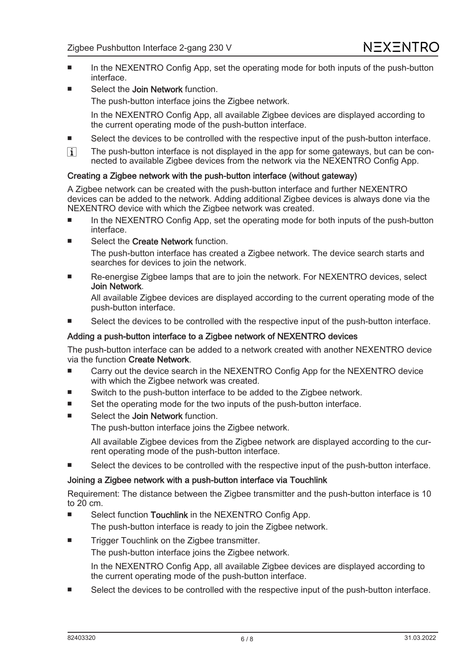- In the NEXENTRO Config App, set the operating mode for both inputs of the push-button interface.
- Select the Join Network function. The push-button interface joins the Zigbee network.

In the NEXENTRO Config App, all available Zigbee devices are displayed according to the current operating mode of the push-button interface.

- Select the devices to be controlled with the respective input of the push-button interface.
- $\boxed{1}$ The push-button interface is not displayed in the app for some gateways, but can be connected to available Zigbee devices from the network via the NEXENTRO Config App.

#### Creating a Zigbee network with the push-button interface (without gateway)

A Zigbee network can be created with the push-button interface and further NEXENTRO devices can be added to the network. Adding additional Zigbee devices is always done via the NEXENTRO device with which the Zigbee network was created.

- In the NEXENTRO Config App, set the operating mode for both inputs of the push-button interface.
- Select the Create Network function. The push-button interface has created a Zigbee network. The device search starts and searches for devices to join the network.
- Re-energise Zigbee lamps that are to join the network. For NEXENTRO devices, select Join Network.

All available Zigbee devices are displayed according to the current operating mode of the push-button interface.

Select the devices to be controlled with the respective input of the push-button interface.

#### Adding a push-button interface to a Zigbee network of NEXENTRO devices

The push-button interface can be added to a network created with another NEXENTRO device via the function Create Network.

- Carry out the device search in the NEXENTRO Config App for the NEXENTRO device with which the Zigbee network was created.
- Switch to the push-button interface to be added to the Zigbee network.
- Set the operating mode for the two inputs of the push-button interface.
- Select the Join Network function.

The push-button interface joins the Zigbee network.

All available Zigbee devices from the Zigbee network are displayed according to the current operating mode of the push-button interface.

Select the devices to be controlled with the respective input of the push-button interface.

#### Joining a Zigbee network with a push-button interface via Touchlink

Requirement: The distance between the Zigbee transmitter and the push-button interface is 10 to 20 cm.

- Select function Touchlink in the NEXENTRO Config App. The push-button interface is ready to join the Zigbee network.
- Trigger Touchlink on the Zigbee transmitter. The push-button interface joins the Zigbee network.

In the NEXENTRO Config App, all available Zigbee devices are displayed according to the current operating mode of the push-button interface.

Select the devices to be controlled with the respective input of the push-button interface.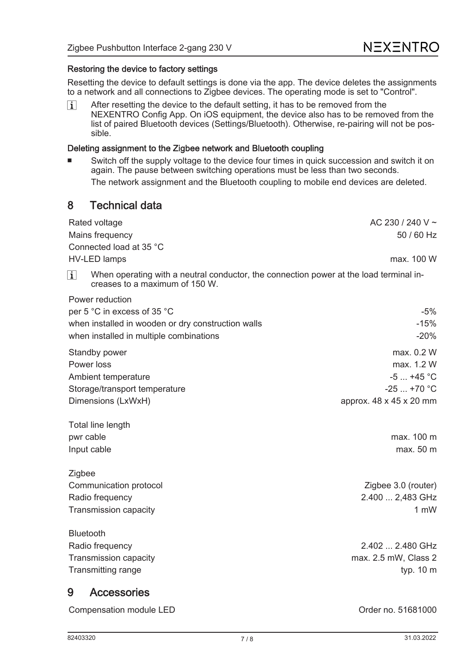#### Restoring the device to factory settings

Resetting the device to default settings is done via the app. The device deletes the assignments to a network and all connections to Zigbee devices. The operating mode is set to "Control".

After resetting the device to the default setting, it has to be removed from the  $\lceil i \rceil$ NEXENTRO Config App. On iOS equipment, the device also has to be removed from the list of paired Bluetooth devices (Settings/Bluetooth). Otherwise, re-pairing will not be possible.

#### Deleting assignment to the Zigbee network and Bluetooth coupling

Switch off the supply voltage to the device four times in quick succession and switch it on again. The pause between switching operations must be less than two seconds. The network assignment and the Bluetooth coupling to mobile end devices are deleted.

## 8 Technical data

Rated voltage  $\overline{AC}$  230 / 240 V  $\sim$ Mains frequency 50 / 60 Hz Connected load at 35 °C HV-LED lamps max. 100 W When operating with a neutral conductor, the connection power at the load terminal in- $\lceil i \rceil$ creases to a maximum of 150 W. Power reduction per  $5^{\circ}$ C in excess of  $35^{\circ}$ C  $-5\%$ when installed in wooden or dry construction walls  $-15\%$ when installed in multiple combinations  $\sim$ 

| WITCH INSTANCE IN THURSE CONTIDINATIONS | -2070                   |  |
|-----------------------------------------|-------------------------|--|
| Standby power                           | max. 0.2 W              |  |
| Power loss                              | max. 1.2 W              |  |
| Ambient temperature                     | $-5$ +45 °C             |  |
| Storage/transport temperature           | $-25$ +70 $^{\circ}$ C  |  |
| Dimensions (LxWxH)                      | approx. 48 x 45 x 20 mm |  |
|                                         |                         |  |

Total line length pwr cable max. 100 m Input cable max. 50 m

**Zigbee** Communication protocol **Zigbee 3.0** (router) Radio frequency 2.400 ... 2,483 GHz Transmission capacity **1 mW** and 1 mW

| <b>Bluetooth</b>      |                      |
|-----------------------|----------------------|
| Radio frequency       | 2.402  2.480 GHz     |
| Transmission capacity | max. 2.5 mW, Class 2 |
| Transmitting range    | typ. $10 \text{ m}$  |
|                       |                      |

## 9 Accessories

| Compensation module LED |  |
|-------------------------|--|
|                         |  |

Order no. 51681000